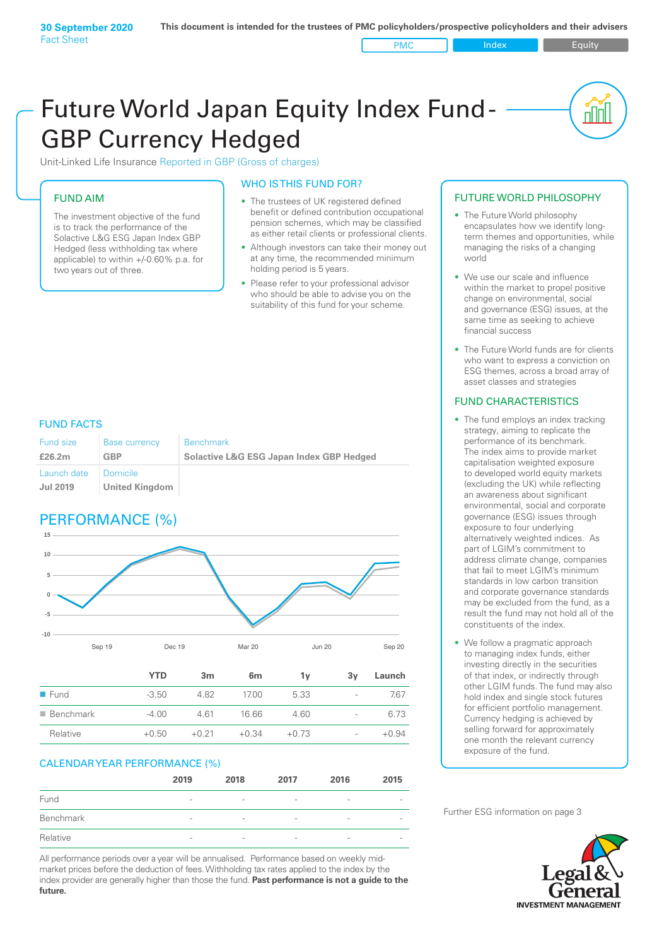# Future World Japan Equity Index Fund - GBP Currency Hedged

Unit-Linked Life Insurance Reported in GBP (Gross of charges)

# FUND AIM

The investment objective of the fund is to track the performance of the Solactive L&G ESG Japan Index GBP Hedged (less withholding tax where applicable) to within +/‑0.60% p.a. for two years out of three.

# WHO IS THIS FUND FOR?

- The trustees of UK registered defined benefit or defined contribution occupational pension schemes, which may be classified as either retail clients or professional clients.
- Although investors can take their money out at any time, the recommended minimum holding period is 5 years.
- Please refer to your professional advisor who should be able to advise you on the suitability of this fund for your scheme.

# FUND FACTS

| Fund size                      | <b>Base currency</b>              | <b>Benchmark</b>                                    |
|--------------------------------|-----------------------------------|-----------------------------------------------------|
| £26.2m                         | <b>GBP</b>                        | <b>Solactive L&amp;G ESG Japan Index GBP Hedged</b> |
| Launch date<br><b>Jul 2019</b> | Domicile<br><b>United Kingdom</b> |                                                     |

# PERFORMANCE (%)



|                          | YTD     | 3 <sub>m</sub> | 6 <sub>m</sub> | 1v      | 3v                       | Launch  |
|--------------------------|---------|----------------|----------------|---------|--------------------------|---------|
| $\blacksquare$ Fund      | $-3.50$ | 482            | 17.00          | 5.33    | $\overline{\phantom{a}}$ | 7.67    |
| $\blacksquare$ Benchmark | $-4.00$ | 461            | 16.66          | 4.60    | $\overline{\phantom{0}}$ | 6.73    |
| Relative                 | $+0.50$ | $+0.21$        | $+0.34$        | $+0.73$ | $\overline{\phantom{a}}$ | $+0.94$ |

### CALENDAR YEAR PERFORMANCE (%)

|           | 2019                     | 2018            | 2017                     | 2016                     | 2015                     |
|-----------|--------------------------|-----------------|--------------------------|--------------------------|--------------------------|
| Fund      | $\qquad \qquad$          | $\qquad \qquad$ | $\overline{\phantom{0}}$ | $\overline{\phantom{a}}$ | $\overline{\phantom{a}}$ |
| Benchmark | $\overline{\phantom{0}}$ | $\qquad \qquad$ | $\overline{\phantom{a}}$ | $\overline{\phantom{a}}$ | -                        |
| Relative  | $\overline{\phantom{0}}$ | $\qquad \qquad$ | $\overline{\phantom{a}}$ | $\overline{\phantom{a}}$ |                          |

All performance periods over a year will be annualised. Performance based on weekly midmarket prices before the deduction of fees. Withholding tax rates applied to the index by the index provider are generally higher than those the fund. **Past performance is not a guide to the future.**

# FUTURE WORLD PHILOSOPHY

• The Future World philosophy encapsulates how we identify longterm themes and opportunities, while managing the risks of a changing world

<u>nul</u>

- We use our scale and influence within the market to propel positive change on environmental, social and governance (ESG) issues, at the same time as seeking to achieve financial success
- The Future World funds are for clients who want to express a conviction on ESG themes, across a broad array of asset classes and strategies

# FUND CHARACTERISTICS

- The fund employs an index tracking strategy, aiming to replicate the performance of its benchmark. The index aims to provide market capitalisation weighted exposure to developed world equity markets (excluding the UK) while reflecting an awareness about significant environmental, social and corporate governance (ESG) issues through exposure to four underlying alternatively weighted indices. As part of LGIM's commitment to address climate change, companies that fail to meet LGIM's minimum standards in low carbon transition and corporate governance standards may be excluded from the fund, as a result the fund may not hold all of the constituents of the index.
- We follow a pragmatic approach to managing index funds, either investing directly in the securities of that index, or indirectly through other LGIM funds. The fund may also hold index and single stock futures for efficient portfolio management. Currency hedging is achieved by selling forward for approximately one month the relevant currency exposure of the fund.

Further ESG information on page 3

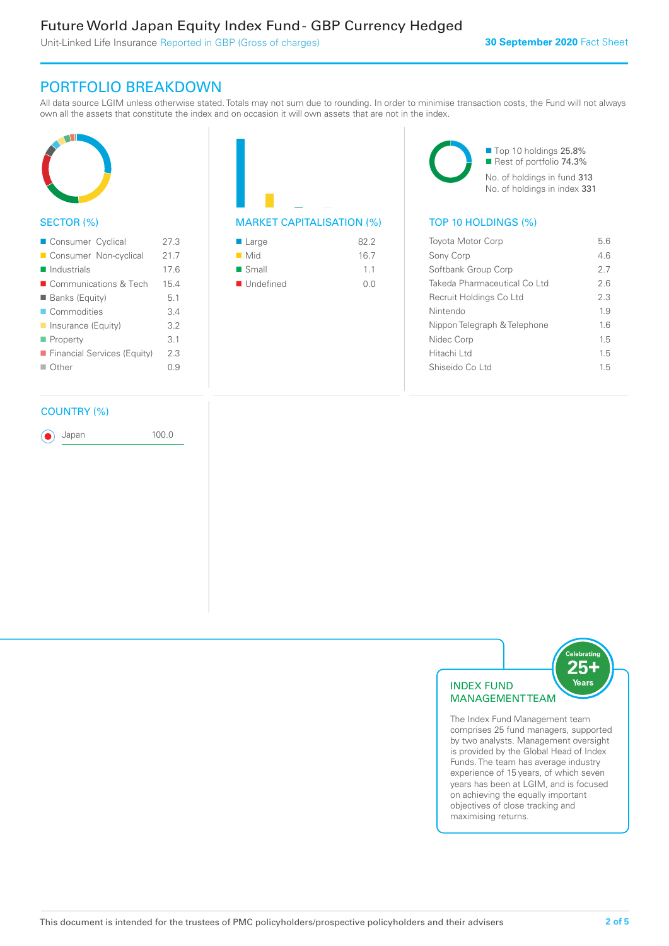Unit-Linked Life Insurance Reported in GBP (Gross of charges)

# PORTFOLIO BREAKDOWN

All data source LGIM unless otherwise stated. Totals may not sum due to rounding. In order to minimise transaction costs, the Fund will not always own all the assets that constitute the index and on occasion it will own assets that are not in the index.



# SECTOR (%)

| Consumer Cyclical           | 273  |
|-----------------------------|------|
| Consumer Non-cyclical       | 21.7 |
| $\blacksquare$ Industrials  | 176  |
| ■ Communications & Tech     | 15.4 |
| <b>Banks (Equity)</b>       | 51   |
| Commodities                 | 34   |
| Insurance (Equity)          | 3.2  |
| ■ Property                  | 3.1  |
| Financial Services (Equity) | 2.3  |
| ■ Other                     | ი 9  |
|                             |      |

# COUNTRY (%)

Japan 100.0

| $\blacksquare$ Large     | 822  |
|--------------------------|------|
| $\blacksquare$ Mid       | 16.7 |
| $\blacksquare$ Small     | 11   |
| $\blacksquare$ Undefined | 0 Q  |

■ Top 10 holdings 25.8% Rest of portfolio 74.3% No. of holdings in fund 313 No. of holdings in index 331

# $(\%)$  TOP 10 HOLDINGS  $(\%)$

| <b>Toyota Motor Corp</b>      | 56  |
|-------------------------------|-----|
| Sony Corp                     | 46  |
| Softbank Group Corp           | 27  |
| Takeda Pharmaceutical Coll td | 26  |
| Recruit Holdings Co Ltd       | 2.3 |
| Nintendo                      | 1.9 |
| Nippon Telegraph & Telephone  | 16  |
| Nidec Corp                    | 15  |
| Hitachi I td                  | 15  |
| Shiseido Co Ltd               | 1.5 |
|                               |     |



The Index Fund Management team comprises 25 fund managers, supported by two analysts. Management oversight is provided by the Global Head of Index Funds. The team has average industry experience of 15 years, of which seven years has been at LGIM, and is focused on achieving the equally important objectives of close tracking and maximising returns.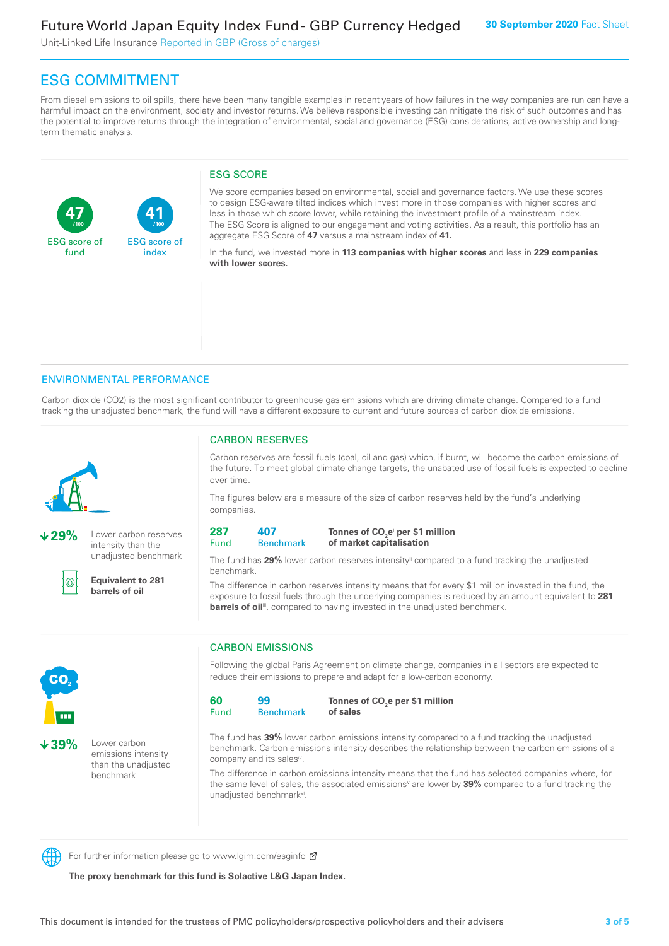Unit-Linked Life Insurance Reported in GBP (Gross of charges)

# ESG COMMITMENT

From diesel emissions to oil spills, there have been many tangible examples in recent years of how failures in the way companies are run can have a harmful impact on the environment, society and investor returns. We believe responsible investing can mitigate the risk of such outcomes and has the potential to improve returns through the integration of environmental, social and governance (ESG) considerations, active ownership and longterm thematic analysis.

# ESG SCORE

**47** ESG score of fund **41** ESG score of index **/100 /100**

We score companies based on environmental, social and governance factors. We use these scores to design ESG-aware tilted indices which invest more in those companies with higher scores and less in those which score lower, while retaining the investment profile of a mainstream index. The ESG Score is aligned to our engagement and voting activities. As a result, this portfolio has an aggregate ESG Score of **47** versus a mainstream index of **41.**

In the fund, we invested more in **113 companies with higher scores** and less in **229 companies with lower scores.**

# ENVIRONMENTAL PERFORMANCE

Carbon dioxide (CO2) is the most significant contributor to greenhouse gas emissions which are driving climate change. Compared to a fund tracking the unadjusted benchmark, the fund will have a different exposure to current and future sources of carbon dioxide emissions.



**29%** Lower carbon reserves intensity than the unadjusted benchmark



**Equivalent to 281 barrels of oil**

# CARBON RESERVES

Carbon reserves are fossil fuels (coal, oil and gas) which, if burnt, will become the carbon emissions of the future. To meet global climate change targets, the unabated use of fossil fuels is expected to decline over time.

The figures below are a measure of the size of carbon reserves held by the fund's underlying companies.

| 287  | 407 |
|------|-----|
| Fund | Ben |

#### **Benchmark** Tonnes of CO<sub>2</sub>e<sup>i</sup> per \$1 million **of market capitalisation**

The fund has 29% lower carbon reserves intensity<sup>ii</sup> compared to a fund tracking the unadjusted benchmark.

The difference in carbon reserves intensity means that for every \$1 million invested in the fund, the exposure to fossil fuels through the underlying companies is reduced by an amount equivalent to **281**  barrels of oil<sup>iii</sup>, compared to having invested in the unadjusted benchmark.



**39%** Lower carbon emissions intensity than the unadjusted benchmark

# CARBON EMISSIONS

Following the global Paris Agreement on climate change, companies in all sectors are expected to reduce their emissions to prepare and adapt for a low-carbon economy.

| 60   | 99               | To |
|------|------------------|----|
| Fund | <b>Benchmark</b> | οf |

Tonnes of CO<sub>2</sub>e per \$1 million **of sales**

The fund has **39%** lower carbon emissions intensity compared to a fund tracking the unadjusted benchmark. Carbon emissions intensity describes the relationship between the carbon emissions of a company and its sales<sup>iv</sup>.

The difference in carbon emissions intensity means that the fund has selected companies where, for the same level of sales, the associated emissions<sup>v</sup> are lower by **39%** compared to a fund tracking the unadjusted benchmark<sup>vi</sup>.

For further information please go to www.lgim.com/esginfo Ø

**The proxy benchmark for this fund is Solactive L&G Japan Index.**

**60**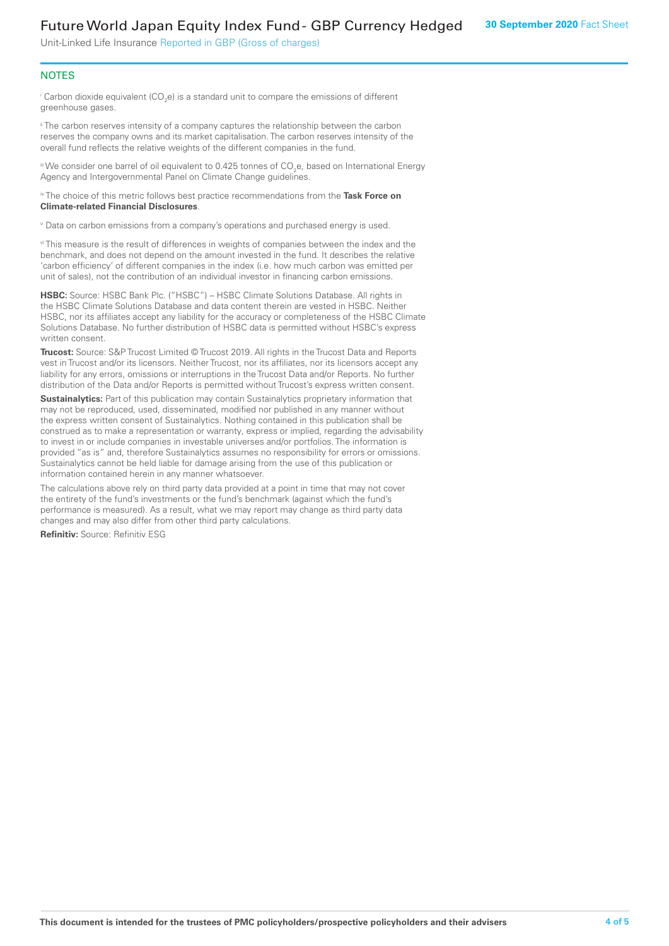# Future World Japan Equity Index Fund - GBP Currency Hedged

Unit-Linked Life Insurance Reported in GBP (Gross of charges)

# **NOTES**

 $^\mathrm{i}$  Carbon dioxide equivalent (CO<sub>2</sub>e) is a standard unit to compare the emissions of different greenhouse gases.

<sup>ii</sup> The carbon reserves intensity of a company captures the relationship between the carbon reserves the company owns and its market capitalisation. The carbon reserves intensity of the overall fund reflects the relative weights of the different companies in the fund.

iii We consider one barrel of oil equivalent to 0.425 tonnes of CO<sub>2</sub>e, based on International Energy Agency and Intergovernmental Panel on Climate Change quidelines.

#### iv The choice of this metric follows best practice recommendations from the **Task Force on Climate-related Financial Disclosures**.

v Data on carbon emissions from a company's operations and purchased energy is used.

vi This measure is the result of differences in weights of companies between the index and the benchmark, and does not depend on the amount invested in the fund. It describes the relative 'carbon efficiency' of different companies in the index (i.e. how much carbon was emitted per unit of sales), not the contribution of an individual investor in financing carbon emissions.

**HSBC:** Source: HSBC Bank Plc. ("HSBC") – HSBC Climate Solutions Database. All rights in the HSBC Climate Solutions Database and data content therein are vested in HSBC. Neither HSBC, nor its affiliates accept any liability for the accuracy or completeness of the HSBC Climate Solutions Database. No further distribution of HSBC data is permitted without HSBC's express written consent.

**Trucost:** Source: S&P Trucost Limited © Trucost 2019. All rights in the Trucost Data and Reports vest in Trucost and/or its licensors. Neither Trucost, nor its affiliates, nor its licensors accept any liability for any errors, omissions or interruptions in the Trucost Data and/or Reports. No further distribution of the Data and/or Reports is permitted without Trucost's express written consent.

**Sustainalytics:** Part of this publication may contain Sustainalytics proprietary information that may not be reproduced, used, disseminated, modified nor published in any manner without the express written consent of Sustainalytics. Nothing contained in this publication shall be construed as to make a representation or warranty, express or implied, regarding the advisability to invest in or include companies in investable universes and/or portfolios. The information is provided "as is" and, therefore Sustainalytics assumes no responsibility for errors or omissions. Sustainalytics cannot be held liable for damage arising from the use of this publication or information contained herein in any manner whatsoever.

The calculations above rely on third party data provided at a point in time that may not cover the entirety of the fund's investments or the fund's benchmark (against which the fund's performance is measured). As a result, what we may report may change as third party data changes and may also differ from other third party calculations.

**Refinitiv:** Source: Refinitiv ESG